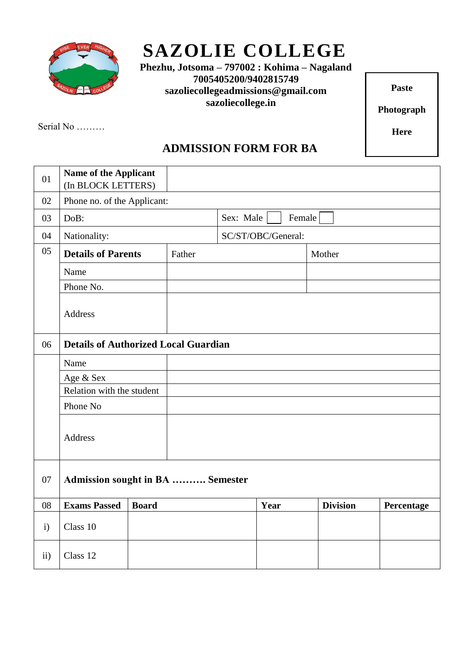

## **SAZOLIE COLLEGE**

 **Phezhu, Jotsoma – 797002 : Kohima – Nagaland 7005405200/9402815749 sazoliecollegeadmissions@gmail.com sazoliecollege.in**

**Paste**

**Photograph**

**Here**

Serial No ………

## **ADMISSION FORM FOR BA**

| 01            | <b>Name of the Applicant</b><br>(In BLOCK LETTERS) |              |                     |  |      |                 |            |
|---------------|----------------------------------------------------|--------------|---------------------|--|------|-----------------|------------|
| 02            | Phone no. of the Applicant:                        |              |                     |  |      |                 |            |
| 03            | DoB:                                               |              | Sex: Male<br>Female |  |      |                 |            |
| 04            | Nationality:                                       |              | SC/ST/OBC/General:  |  |      |                 |            |
| 05            | <b>Details of Parents</b><br>Father                |              | Mother              |  |      |                 |            |
|               | Name                                               |              |                     |  |      |                 |            |
|               | Phone No.                                          |              |                     |  |      |                 |            |
|               | <b>Address</b>                                     |              |                     |  |      |                 |            |
| 06            | <b>Details of Authorized Local Guardian</b>        |              |                     |  |      |                 |            |
|               | Name                                               |              |                     |  |      |                 |            |
|               | Age & Sex                                          |              |                     |  |      |                 |            |
|               | Relation with the student                          |              |                     |  |      |                 |            |
|               | Phone No                                           |              |                     |  |      |                 |            |
|               | <b>Address</b>                                     |              |                     |  |      |                 |            |
| 07            | <b>Admission sought in BA  Semester</b>            |              |                     |  |      |                 |            |
| 08            | <b>Exams Passed</b>                                | <b>Board</b> |                     |  | Year | <b>Division</b> | Percentage |
| $\mathbf{i}$  | Class 10                                           |              |                     |  |      |                 |            |
| $\mathbf{ii}$ | Class 12                                           |              |                     |  |      |                 |            |